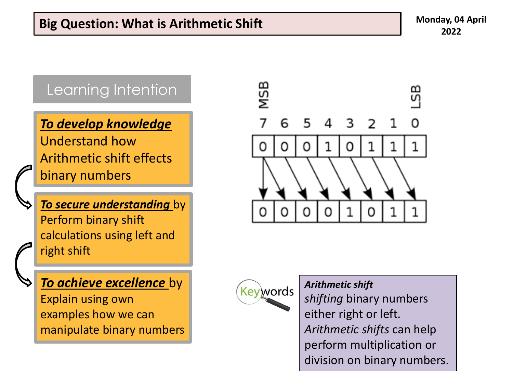#### Learning Intention

*To develop knowledge* 

Understand how Arithmetic shift effects binary numbers

*To secure understanding* by Perform binary shift calculations using left and right shift

*To achieve excellence* by Explain using own

examples how we can manipulate binary numbers





*Arithmetic shift*

*shifting* binary numbers either right or left. *Arithmetic shifts* can help perform multiplication or division on binary numbers.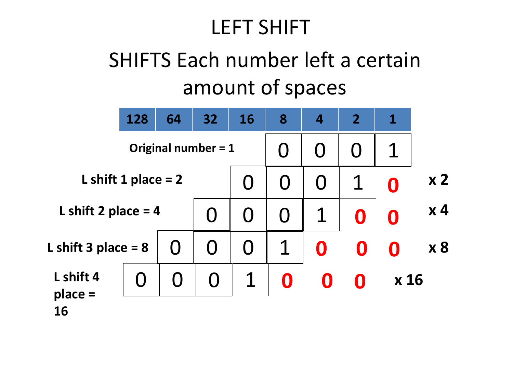#### LEFT SHIFT

## SHIFTS Each number left a certain amount of spaces

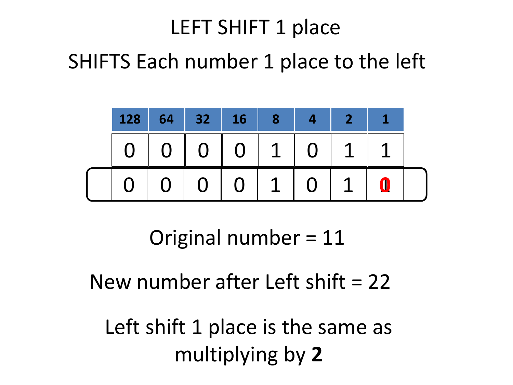# LEFT SHIFT 1 place SHIFTS Each number 1 place to the left



Original number = 11

#### New number after Left shift  $= 22$

Left shift 1 place is the same as multiplying by **2**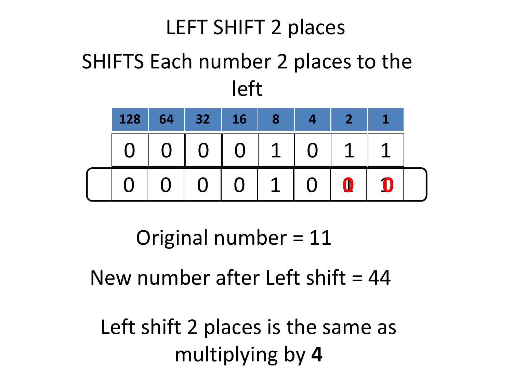## LEFT SHIFT 2 places SHIFTS Each number 2 places to the left



Original number = 11

New number after Left shift  $= 44$ 

Left shift 2 places is the same as multiplying by **4**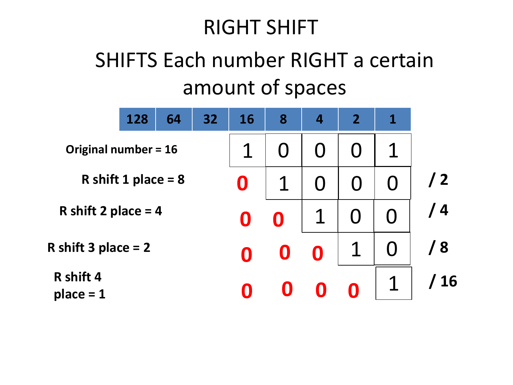#### RIGHT SHIFT

### SHIFTS Each number RIGHT a certain amount of spaces

|                             | 128 | 64 | 32                      | 16               | 8                | $\overline{4}$ | $\overline{2}$    | 1          |  |
|-----------------------------|-----|----|-------------------------|------------------|------------------|----------------|-------------------|------------|--|
| <b>Original number = 16</b> |     |    |                         |                  |                  |                | $\mathbf{\Omega}$ |            |  |
| R shift 1 place = $8$       |     |    |                         |                  | O                |                |                   | $\sqrt{2}$ |  |
| R shift 2 place = $4$       |     |    | $\overline{\mathbf{0}}$ | $\boldsymbol{0}$ |                  | $\mathbf U$    |                   | / 4        |  |
| R shift 3 place $= 2$       |     |    |                         | O                | $\boldsymbol{0}$ |                |                   | / 8        |  |
| R shift 4<br>$place = 1$    |     |    |                         |                  |                  |                |                   | / 16       |  |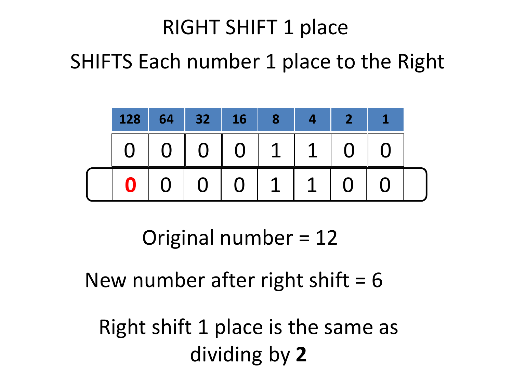# RIGHT SHIFT 1 place SHIFTS Each number 1 place to the Right



Original number = 12

#### New number after right shift  $= 6$

Right shift 1 place is the same as dividing by **2**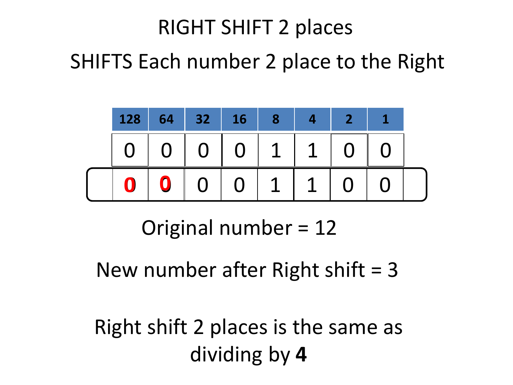# RIGHT SHIFT 2 places SHIFTS Each number 2 place to the Right



Original number = 12

New number after Right shift  $=$  3

Right shift 2 places is the same as dividing by **4**